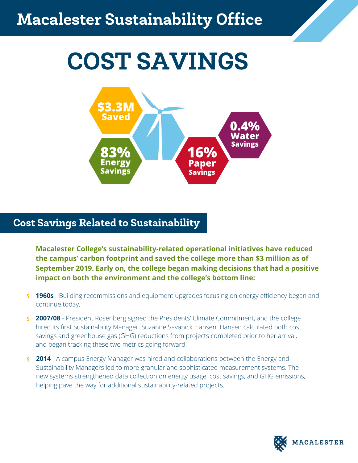# COST SAVINGS



## Cost Savings Related to Sustainability

**Macalester College's sustainability-related operational initiatives have reduced the campus' carbon footprint and saved the college more than \$3 million as of September 2019. Early on, the college began making decisions that had a positive impact on both the environment and the college's bottom line:**

- **1960s** Building recommissions and equipment upgrades focusing on energy efficiency began and continue today.
- **2007/08** President Rosenberg signed the Presidents' Climate Commitment, and the college hired its first Sustainability Manager, Suzanne Savanick Hansen. Hansen calculated both cost savings and greenhouse gas (GHG) reductions from projects completed prior to her arrival, and began tracking these two metrics going forward.
- **2014** A campus Energy Manager was hired and collaborations between the Energy and Sustainability Managers led to more granular and sophisticated measurement systems. The new systems strengthened data collection on energy usage, cost savings, and GHG emissions, helping pave the way for additional sustainability-related projects.